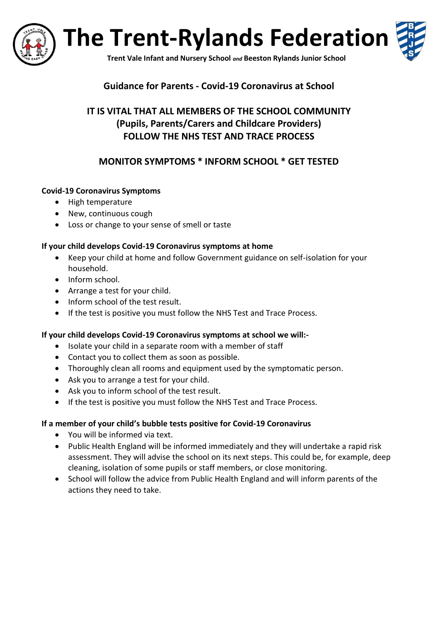

**The Trent-Rylands Federation**



**Trent Vale Infant and Nursery School** *and* **Beeston Rylands Junior School**

### **Guidance for Parents - Covid-19 Coronavirus at School**

# **IT IS VITAL THAT ALL MEMBERS OF THE SCHOOL COMMUNITY (Pupils, Parents/Carers and Childcare Providers) FOLLOW THE NHS TEST AND TRACE PROCESS**

# **MONITOR SYMPTOMS \* INFORM SCHOOL \* GET TESTED**

#### **Covid-19 Coronavirus Symptoms**

- High temperature
- New, continuous cough
- Loss or change to your sense of smell or taste

#### **If your child develops Covid-19 Coronavirus symptoms at home**

- Keep your child at home and follow Government guidance on self-isolation for your household.
- Inform school.
- Arrange a test for your child.
- Inform school of the test result.
- If the test is positive you must follow the NHS Test and Trace Process.

#### **If your child develops Covid-19 Coronavirus symptoms at school we will:-**

- Isolate your child in a separate room with a member of staff
- Contact you to collect them as soon as possible.
- Thoroughly clean all rooms and equipment used by the symptomatic person.
- Ask you to arrange a test for your child.
- Ask you to inform school of the test result.
- If the test is positive you must follow the NHS Test and Trace Process.

#### **If a member of your child's bubble tests positive for Covid-19 Coronavirus**

- You will be informed via text.
- Public Health England will be informed immediately and they will undertake a rapid risk assessment. They will advise the school on its next steps. This could be, for example, deep cleaning, isolation of some pupils or staff members, or close monitoring.
- School will follow the advice from Public Health England and will inform parents of the actions they need to take.